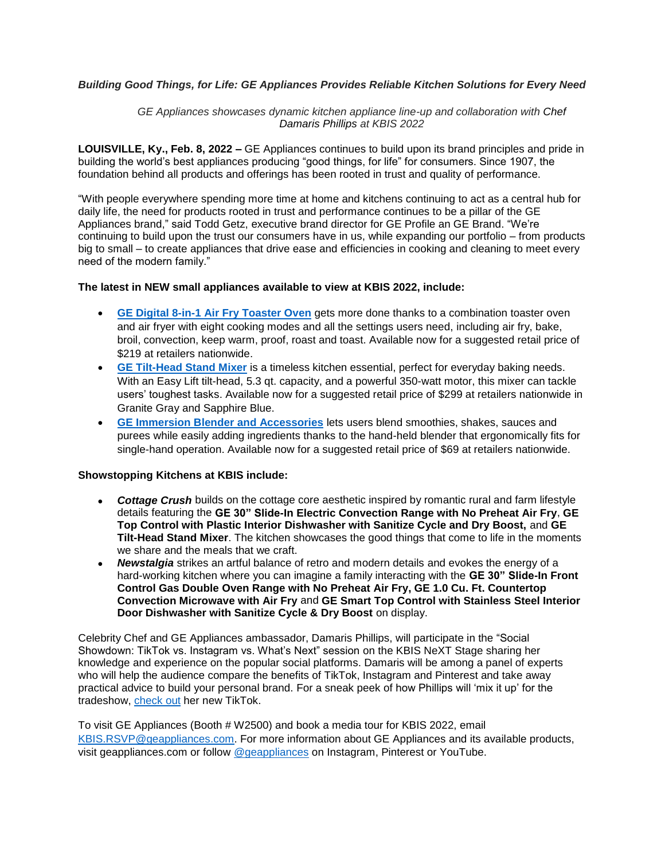## *Building Good Things, for Life: GE Appliances Provides Reliable Kitchen Solutions for Every Need*

*GE Appliances showcases dynamic kitchen appliance line-up and collaboration with Chef Damaris Phillips at KBIS 2022*

**LOUISVILLE, Ky., Feb. 8, 2022 –** GE Appliances continues to build upon its brand principles and pride in building the world's best appliances producing "good things, for life" for consumers. Since 1907, the foundation behind all products and offerings has been rooted in trust and quality of performance.

"With people everywhere spending more time at home and kitchens continuing to act as a central hub for daily life, the need for products rooted in trust and performance continues to be a pillar of the GE Appliances brand," said Todd Getz, executive brand director for GE Profile an GE Brand. "We're continuing to build upon the trust our consumers have in us, while expanding our portfolio – from products big to small – to create appliances that drive ease and efficiencies in cooking and cleaning to meet every need of the modern family."

## **The latest in NEW small appliances available to view at KBIS 2022, include:**

- **[GE Digital 8-in-1 Air Fry Toaster Oven](https://www.geappliances.com/appliance/GE-Digital-Air-Fry-8-in-1-Toaster-Oven-G9OAAASSPSS)** gets more done thanks to a combination toaster oven and air fryer with eight cooking modes and all the settings users need, including air fry, bake, broil, convection, keep warm, proof, roast and toast. Available now for a suggested retail price of \$219 at retailers nationwide.
- **[GE Tilt-Head Stand Mixer](https://www.geappliances.com/stand-mixers)** is a timeless kitchen essential, perfect for everyday baking needs. With an Easy Lift tilt-head, 5.3 qt. capacity, and a powerful 350-watt motor, this mixer can tackle users' toughest tasks. Available now for a suggested retail price of \$299 at retailers nationwide in Granite Gray and Sapphire Blue.
- **[GE Immersion Blender and Accessories](https://www.geappliances.com/appliance/GE-Immersion-Blender-G8H0AASSPSS)** lets users blend smoothies, shakes, sauces and purees while easily adding ingredients thanks to the hand-held blender that ergonomically fits for single-hand operation. Available now for a suggested retail price of \$69 at retailers nationwide.

## **Showstopping Kitchens at KBIS include:**

- *Cottage Crush* builds on the cottage core aesthetic inspired by romantic rural and farm lifestyle details featuring the **GE 30" Slide-In Electric Convection Range with No Preheat Air Fry**, **GE Top Control with Plastic Interior Dishwasher with Sanitize Cycle and Dry Boost,** and **GE Tilt-Head Stand Mixer**. The kitchen showcases the good things that come to life in the moments we share and the meals that we craft.
- *Newstalgia* strikes an artful balance of retro and modern details and evokes the energy of a hard-working kitchen where you can imagine a family interacting with the **GE 30" Slide-In Front Control Gas Double Oven Range with No Preheat Air Fry, GE 1.0 Cu. Ft. Countertop Convection Microwave with Air Fry** and **GE Smart Top Control with Stainless Steel Interior Door Dishwasher with Sanitize Cycle & Dry Boost** on display.

Celebrity Chef and GE Appliances ambassador, Damaris Phillips, will participate in the "Social Showdown: TikTok vs. Instagram vs. What's Next" session on the KBIS NeXT Stage sharing her knowledge and experience on the popular social platforms. Damaris will be among a panel of experts who will help the audience compare the benefits of TikTok, Instagram and Pinterest and take away practical advice to build your personal brand. For a sneak peek of how Phillips will 'mix it up' for the tradeshow, [check out](https://www.tiktok.com/@damarisphillips/video/7055447093946682670?is_copy_url=1&is_from_webapp=v1) her new TikTok.

To visit GE Appliances (Booth # W2500) and book a media tour for KBIS 2022, email [KBIS.RSVP@geappliances.com.](mailto:media@geappliances.com) For more information about GE Appliances and its available products, visit geappliances.com or follow [@geappliances](https://www.instagram.com/geappliances/?hl=en) on Instagram, Pinterest or YouTube.